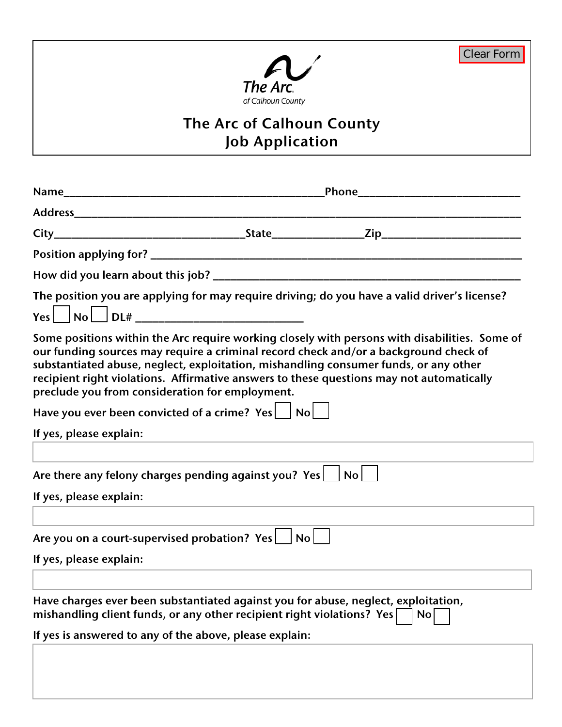

# **The Arc of Calhoun County Job Application**

|                                                                                                                                                                                                                         | <u>Phone ______________________________</u> |                                                                                                                                                                                                                                                                                                                                                                           |  |
|-------------------------------------------------------------------------------------------------------------------------------------------------------------------------------------------------------------------------|---------------------------------------------|---------------------------------------------------------------------------------------------------------------------------------------------------------------------------------------------------------------------------------------------------------------------------------------------------------------------------------------------------------------------------|--|
|                                                                                                                                                                                                                         |                                             |                                                                                                                                                                                                                                                                                                                                                                           |  |
|                                                                                                                                                                                                                         |                                             |                                                                                                                                                                                                                                                                                                                                                                           |  |
|                                                                                                                                                                                                                         |                                             |                                                                                                                                                                                                                                                                                                                                                                           |  |
|                                                                                                                                                                                                                         |                                             |                                                                                                                                                                                                                                                                                                                                                                           |  |
|                                                                                                                                                                                                                         |                                             | The position you are applying for may require driving; do you have a valid driver's license?                                                                                                                                                                                                                                                                              |  |
| preclude you from consideration for employment.<br>Have you ever been convicted of a crime? $Yes \Box No \Box$<br>If yes, please explain:                                                                               |                                             | Some positions within the Arc require working closely with persons with disabilities. Some of<br>our funding sources may require a criminal record check and/or a background check of<br>substantiated abuse, neglect, exploitation, mishandling consumer funds, or any other<br>recipient right violations. Affirmative answers to these questions may not automatically |  |
|                                                                                                                                                                                                                         |                                             |                                                                                                                                                                                                                                                                                                                                                                           |  |
| Are there any felony charges pending against you? $Yes \Box No \Box$                                                                                                                                                    |                                             |                                                                                                                                                                                                                                                                                                                                                                           |  |
| If yes, please explain:                                                                                                                                                                                                 |                                             |                                                                                                                                                                                                                                                                                                                                                                           |  |
| Are you on a court-supervised probation? $Yes \Box No \Box$<br>If yes, please explain:                                                                                                                                  |                                             |                                                                                                                                                                                                                                                                                                                                                                           |  |
| Have charges ever been substantiated against you for abuse, neglect, exploitation,<br>mishandling client funds, or any other recipient right violations? Yes<br>If yes is answered to any of the above, please explain: |                                             | No                                                                                                                                                                                                                                                                                                                                                                        |  |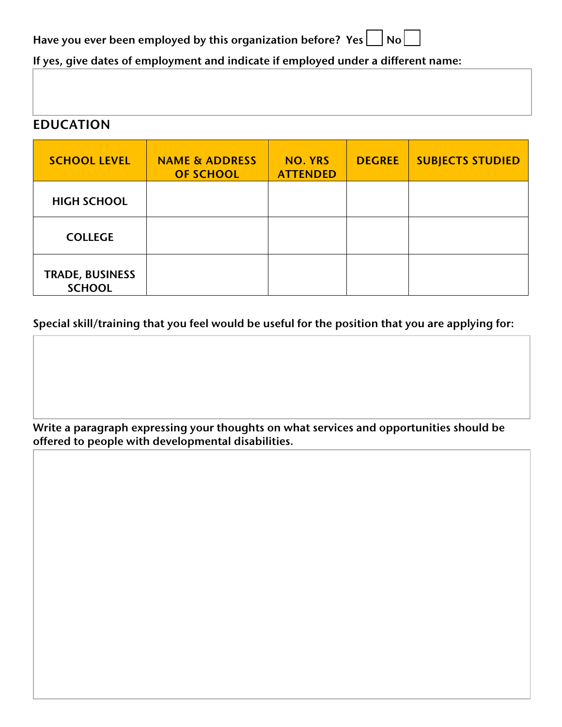**Have you ever been employed by this organization before? Yes**  $\Box$  **No**  $\Box$ 

**If yes, give dates of employment and indicate if employed under a different name:**

### **EDUCATION**

| <b>SCHOOL LEVEL</b>                     | <b>NAME &amp; ADDRESS</b><br><b>OF SCHOOL</b> | <b>NO. YRS</b><br><b>ATTENDED</b> | <b>DEGREE</b> | <b>SUBJECTS STUDIED</b> |
|-----------------------------------------|-----------------------------------------------|-----------------------------------|---------------|-------------------------|
| <b>HIGH SCHOOL</b>                      |                                               |                                   |               |                         |
| <b>COLLEGE</b>                          |                                               |                                   |               |                         |
| <b>TRADE, BUSINESS</b><br><b>SCHOOL</b> |                                               |                                   |               |                         |

#### **Special skill/training that you feel would be useful for the position that you are applying for:**

**Write a paragraph expressing your thoughts on what services and opportunities should be offered to people with developmental disabilities.**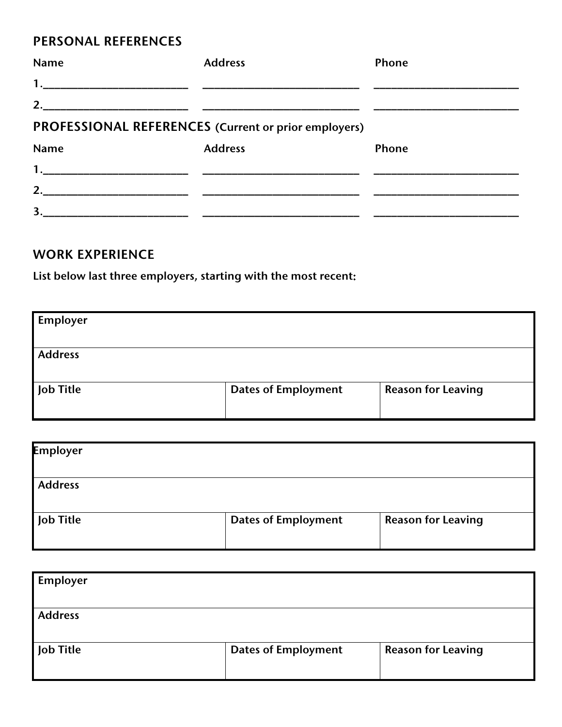## **PERSONAL REFERENCES**

| <b>Name</b>        | <b>Address</b>                                       | <b>Phone</b> |
|--------------------|------------------------------------------------------|--------------|
|                    |                                                      |              |
|                    |                                                      |              |
|                    | PROFESSIONAL REFERENCES (Current or prior employers) |              |
| Name               | <b>Address</b>                                       | Phone        |
|                    |                                                      |              |
| 2. $\qquad \qquad$ |                                                      |              |
| 3.                 |                                                      |              |

## **WORK EXPERIENCE**

**List below last three employers, starting with the most recent:**

| Employer       |                            |                           |
|----------------|----------------------------|---------------------------|
|                |                            |                           |
| <b>Address</b> |                            |                           |
| Job Title      | <b>Dates of Employment</b> | <b>Reason for Leaving</b> |

| <b>Employer</b> |                            |                           |
|-----------------|----------------------------|---------------------------|
| <b>Address</b>  |                            |                           |
| Job Title       | <b>Dates of Employment</b> | <b>Reason for Leaving</b> |

| <b>Employer</b> |                            |                           |
|-----------------|----------------------------|---------------------------|
| <b>Address</b>  |                            |                           |
| Job Title       | <b>Dates of Employment</b> | <b>Reason for Leaving</b> |